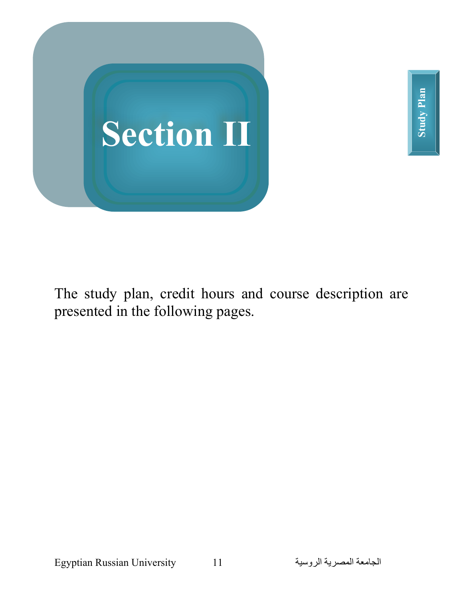



The study plan, credit hours and course description are presented in the following pages.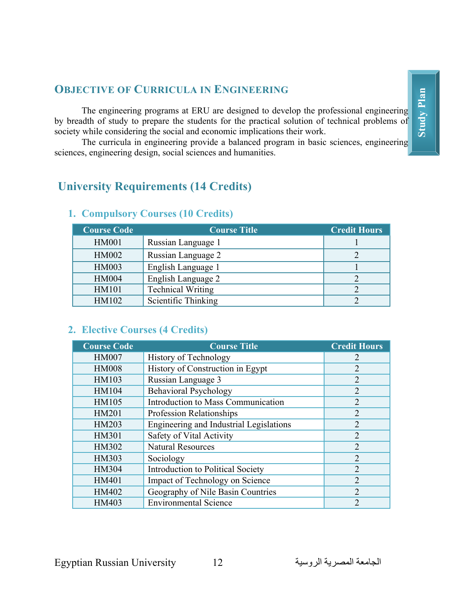## **OBJECTIVE OF CURRICULA IN ENGINEERING**

The engineering programs at ERU are designed to develop the professional engineering by breadth of study to prepare the students for the practical solution of technical problems of society while considering the social and economic implications their work.

The curricula in engineering provide a balanced program in basic sciences, engineering sciences, engineering design, social sciences and humanities.

## **University Requirements (14 Credits)**

| <b>Course Code</b> | <b>Course Title</b>      | <b>Credit Hours</b> |
|--------------------|--------------------------|---------------------|
| <b>HM001</b>       | Russian Language 1       |                     |
| <b>HM002</b>       | Russian Language 2       |                     |
| HM003              | English Language 1       |                     |
| <b>HM004</b>       | English Language 2       |                     |
| HM101              | <b>Technical Writing</b> |                     |
| HM102              | Scientific Thinking      |                     |

## **1. Compulsory Courses (10 Credits)**

## **2. Elective Courses (4 Credits)**

| <b>Course Code</b> | <b>Course Title</b>                      | <b>Credit Hours</b> |
|--------------------|------------------------------------------|---------------------|
| <b>HM007</b>       | History of Technology                    | 2                   |
| <b>HM008</b>       | History of Construction in Egypt         | $\overline{2}$      |
| HM103              | Russian Language 3                       | $\overline{2}$      |
| HM104              | <b>Behavioral Psychology</b>             | $\overline{2}$      |
| HM105              | Introduction to Mass Communication       | $\overline{2}$      |
| HM201              | <b>Profession Relationships</b>          | $\overline{2}$      |
| HM203              | Engineering and Industrial Legislations  | 2                   |
| HM301              | Safety of Vital Activity                 | $\overline{2}$      |
| HM302              | <b>Natural Resources</b>                 | $\overline{2}$      |
| HM303              | Sociology                                | $\overline{2}$      |
| HM304              | <b>Introduction to Political Society</b> | $\overline{2}$      |
| HM401              | Impact of Technology on Science          | $\overline{2}$      |
| HM402              | Geography of Nile Basin Countries        | $\overline{2}$      |
| HM403              | <b>Environmental Science</b>             | $\mathcal{D}$       |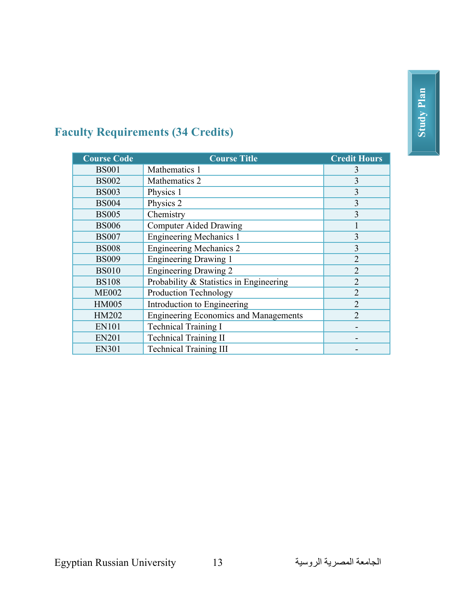## **Faculty Requirements (34 Credits)**

| <b>Course Code</b> | <b>Course Title</b>                          | <b>Credit Hours</b> |
|--------------------|----------------------------------------------|---------------------|
| <b>BS001</b>       | Mathematics 1                                | 3                   |
| <b>BS002</b>       | Mathematics 2                                | 3                   |
| <b>BS003</b>       | Physics 1                                    | 3                   |
| <b>BS004</b>       | Physics 2                                    | 3                   |
| <b>BS005</b>       | Chemistry                                    | 3                   |
| <b>BS006</b>       | <b>Computer Aided Drawing</b>                |                     |
| <b>BS007</b>       | <b>Engineering Mechanics 1</b>               | $\overline{3}$      |
| <b>BS008</b>       | <b>Engineering Mechanics 2</b>               | 3                   |
| <b>BS009</b>       | <b>Engineering Drawing 1</b>                 | $\overline{2}$      |
| <b>BS010</b>       | <b>Engineering Drawing 2</b>                 | $\overline{2}$      |
| <b>BS108</b>       | Probability & Statistics in Engineering      | $\overline{2}$      |
| <b>ME002</b>       | <b>Production Technology</b>                 | $\overline{2}$      |
| <b>HM005</b>       | Introduction to Engineering                  | $\overline{2}$      |
| HM202              | <b>Engineering Economics and Managements</b> | $\overline{2}$      |
| <b>EN101</b>       | <b>Technical Training I</b>                  |                     |
| <b>EN201</b>       | <b>Technical Training II</b>                 |                     |
| <b>EN301</b>       | <b>Technical Training III</b>                |                     |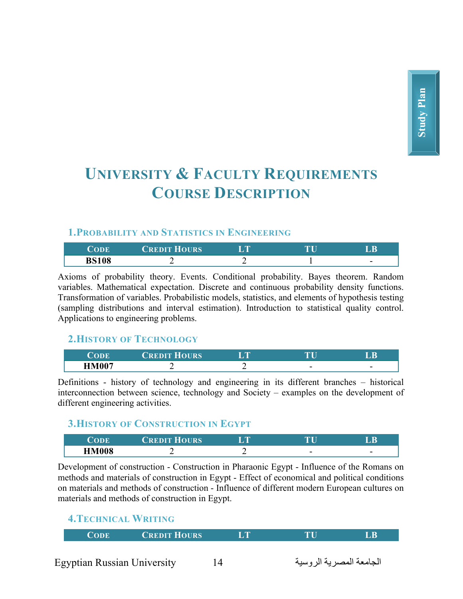# **UNIVERSITY & FACULTY REQUIREMENTS COURSE DESCRIPTION**

#### **1.PROBABILITY AND STATISTICS IN ENGINEERING**

| 'ODE         | CREDIT HOURS | <b>ITM</b> | <b>ANT</b> | D              |
|--------------|--------------|------------|------------|----------------|
| <b>BS108</b> | -            | -          |            | $\blacksquare$ |

Axioms of probability theory. Events. Conditional probability. Bayes theorem. Random variables. Mathematical expectation. Discrete and continuous probability density functions. Transformation of variables. Probabilistic models, statistics, and elements of hypothesis testing (sampling distributions and interval estimation). Introduction to statistical quality control. Applications to engineering problems.

#### **2.HISTORY OF TECHNOLOGY**

| ~      | <b>OURS</b><br><b>The Second State Control</b> | <b>ALCOHOL:</b> | $\mathbf{m}$ | D                        |
|--------|------------------------------------------------|-----------------|--------------|--------------------------|
| TIMAA7 | -<br>_                                         | -<br>_          | -            | $\overline{\phantom{0}}$ |

Definitions - history of technology and engineering in its different branches – historical interconnection between science, technology and Society – examples on the development of different engineering activities.

#### **3.HISTORY OF CONSTRUCTION IN EGYPT**

| <b>CODE</b>  | ┳┳<br><b>IOURS</b><br><b>TREDIT</b> | <b>SEPTEMBER</b> |   |        |
|--------------|-------------------------------------|------------------|---|--------|
| <b>HM008</b> |                                     |                  | - | -<br>- |

Development of construction - Construction in Pharaonic Egypt - Influence of the Romans on methods and materials of construction in Egypt - Effect of economical and political conditions on materials and methods of construction - Influence of different modern European cultures on materials and methods of construction in Egypt.

## **4.TECHNICAL WRITING**

|  |  | CODE | <b>CREDIT HOURS</b> | <b>TIME</b> | ТU | LB |
|--|--|------|---------------------|-------------|----|----|
|--|--|------|---------------------|-------------|----|----|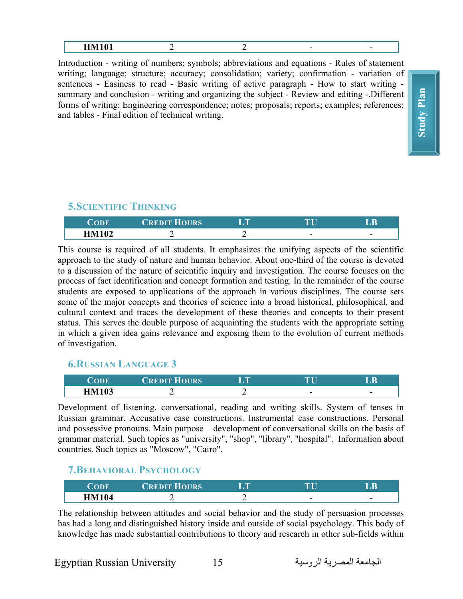| --- - - - -<br>-------<br>------- |  |  |  |  |  |
|-----------------------------------|--|--|--|--|--|
|-----------------------------------|--|--|--|--|--|

Introduction - writing of numbers; symbols; abbreviations and equations - Rules of statement writing; language; structure; accuracy; consolidation; variety; confirmation - variation of sentences - Easiness to read - Basic writing of active paragraph - How to start writing summary and conclusion - writing and organizing the subject - Review and editing -.Different forms of writing: Engineering correspondence; notes; proposals; reports; examples; references; and tables - Final edition of technical writing.

#### **5.SCIENTIFIC THINKING**

| ODE   | <b>CREDIT HOURS</b> | <b>In D</b> |   |   |
|-------|---------------------|-------------|---|---|
| TM102 |                     | —           | - | - |

This course is required of all students. It emphasizes the unifying aspects of the scientific approach to the study of nature and human behavior. About one-third of the course is devoted to a discussion of the nature of scientific inquiry and investigation. The course focuses on the process of fact identification and concept formation and testing. In the remainder of the course students are exposed to applications of the approach in various disciplines. The course sets some of the major concepts and theories of science into a broad historical, philosophical, and cultural context and traces the development of these theories and concepts to their present status. This serves the double purpose of acquainting the students with the appropriate setting in which a given idea gains relevance and exposing them to the evolution of current methods of investigation.

#### **6.RUSSIAN LANGUAGE 3**

| 'ODE         | <b>CREDIT HOURS</b> | <b>TABLE</b> | $\overline{\phantom{a}}$ |   |
|--------------|---------------------|--------------|--------------------------|---|
| <b>HM103</b> |                     |              |                          | - |

Development of listening, conversational, reading and writing skills. System of tenses in Russian grammar. Accusative case constructions. Instrumental case constructions. Personal and possessive pronouns. Main purpose – development of conversational skills on the basis of grammar material. Such topics as "university", "shop", "library", "hospital". Information about countries. Such topics as "Moscow", "Cairo".

#### **7.BEHAVIORAL PSYCHOLOGY**

|              | <b>CREDIT</b><br><b>HOURS</b> | <b>SIGHT</b> | mm | <b>B</b>                 |
|--------------|-------------------------------|--------------|----|--------------------------|
| <b>HM104</b> |                               |              | -  | $\overline{\phantom{0}}$ |

The relationship between attitudes and social behavior and the study of persuasion processes has had a long and distinguished history inside and outside of social psychology. This body of knowledge has made substantial contributions to theory and research in other sub-fields within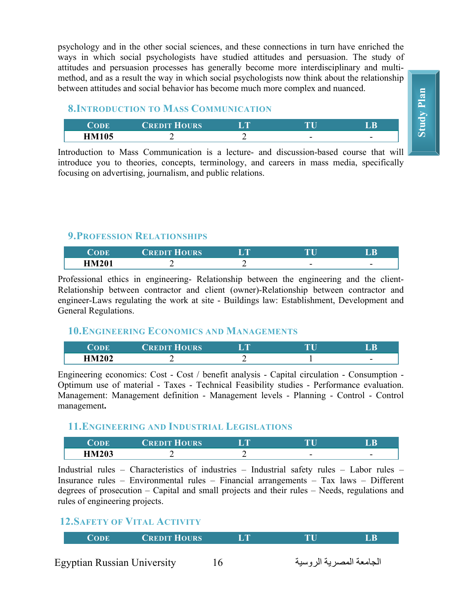psychology and in the other social sciences, and these connections in turn have enriched the ways in which social psychologists have studied attitudes and persuasion. The study of attitudes and persuasion processes has generally become more interdisciplinary and multimethod, and as a result the way in which social psychologists now think about the relationship between attitudes and social behavior has become much more complex and nuanced.

#### **8.INTRODUCTION TO MASS COMMUNICATION**

| <b>CODE</b>  | <b>CREDIT HOURS</b> | <b>ALL STATE</b> |   | B  |
|--------------|---------------------|------------------|---|----|
| <b>HM105</b> |                     |                  | - | -- |

Introduction to Mass Communication is a lecture- and discussion-based course that will introduce you to theories, concepts, terminology, and careers in mass media, specifically focusing on advertising, journalism, and public relations.

#### **9.PROFESSION RELATIONSHIPS**

|              | CREDIT HOURS | TU | R      |
|--------------|--------------|----|--------|
| <b>HM201</b> |              | -  | $\sim$ |

Professional ethics in engineering- Relationship between the engineering and the client-Relationship between contractor and client (owner)-Relationship between contractor and engineer-Laws regulating the work at site - Buildings law: Establishment, Development and General Regulations.

#### **10.ENGINEERING ECONOMICS AND MANAGEMENTS**

|              | <b>CREDIT</b><br><b>HOURS</b> | r m | $\mathbf{T}$ | R                        |
|--------------|-------------------------------|-----|--------------|--------------------------|
| <b>HM202</b> |                               |     |              | $\overline{\phantom{0}}$ |

Engineering economics: Cost - Cost / benefit analysis - Capital circulation - Consumption - Optimum use of material - Taxes - Technical Feasibility studies - Performance evaluation. Management: Management definition - Management levels - Planning - Control - Control management**.**

#### **11.ENGINEERING AND INDUSTRIAL LEGISLATIONS**

| $\Omega$     | ╌<br><b>REDIT</b><br><b>OURS</b> | <b>A</b> TIME |        |   |
|--------------|----------------------------------|---------------|--------|---|
| <b>HM203</b> |                                  |               | $\sim$ | - |

Industrial rules – Characteristics of industries – Industrial safety rules – Labor rules – Insurance rules – Environmental rules – Financial arrangements – Tax laws – Different degrees of prosecution – Capital and small projects and their rules – Needs, regulations and rules of engineering projects.

#### **12.SAFETY OF VITAL ACTIVITY**

| <b>CODE</b> | <b>CREDIT HOURS</b> | īТ | TH | LB |
|-------------|---------------------|----|----|----|
|             |                     |    |    |    |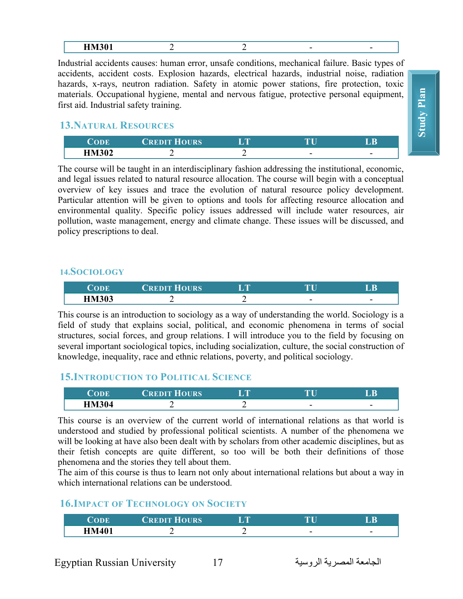Industrial accidents causes: human error, unsafe conditions, mechanical failure. Basic types of accidents, accident costs. Explosion hazards, electrical hazards, industrial noise, radiation hazards, x-rays, neutron radiation. Safety in atomic power stations, fire protection, toxic materials. Occupational hygiene, mental and nervous fatigue, protective personal equipment, first aid. Industrial safety training.

#### **13.NATURAL RESOURCES**

|              | <b>HOURS</b><br>REDIT |   |   |
|--------------|-----------------------|---|---|
| <b>HM302</b> | -                     | - | - |

The course will be taught in an interdisciplinary fashion addressing the institutional, economic, and legal issues related to natural resource allocation. The course will begin with a conceptual overview of key issues and trace the evolution of natural resource policy development. Particular attention will be given to options and tools for affecting resource allocation and environmental quality. Specific policy issues addressed will include water resources, air pollution, waste management, energy and climate change. These issues will be discussed, and policy prescriptions to deal.

#### **14.SOCIOLOGY**

| ODE          | <b>CREDIT HOURS</b> | r m | $\blacksquare$ | B |
|--------------|---------------------|-----|----------------|---|
| <b>HM303</b> |                     |     | -              |   |

This course is an introduction to sociology as a way of understanding the world. Sociology is a field of study that explains social, political, and economic phenomena in terms of social structures, social forces, and group relations. I will introduce you to the field by focusing on several important sociological topics, including socialization, culture, the social construction of knowledge, inequality, race and ethnic relations, poverty, and political sociology.

#### **15.INTRODUCTION TO POLITICAL SCIENCE**

| ODE          | <b>CREDIT HOURS</b> | <b>SEPTEMBER</b> | mп |   |
|--------------|---------------------|------------------|----|---|
| <b>HM304</b> |                     |                  | -  | - |

This course is an overview of the current world of international relations as that world is understood and studied by professional political scientists. A number of the phenomena we will be looking at have also been dealt with by scholars from other academic disciplines, but as their fetish concepts are quite different, so too will be both their definitions of those phenomena and the stories they tell about them.

The aim of this course is thus to learn not only about international relations but about a way in which international relations can be understood.

#### **16.IMPACT OF TECHNOLOGY ON SOCIETY**

| <b>CREDIT HOURS</b> | <b>ALL DE</b> |   | R |
|---------------------|---------------|---|---|
|                     | -             | - |   |

**Study Plan Study Plan**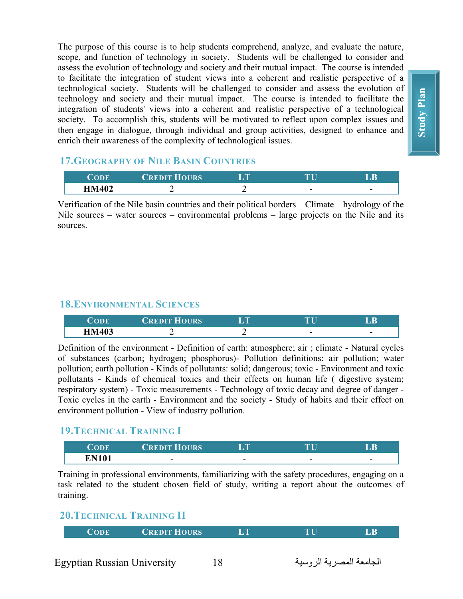The purpose of this course is to help students comprehend, analyze, and evaluate the nature, scope, and function of technology in society. Students will be challenged to consider and assess the evolution of technology and society and their mutual impact. The course is intended to facilitate the integration of student views into a coherent and realistic perspective of a technological society. Students will be challenged to consider and assess the evolution of technology and society and their mutual impact. The course is intended to facilitate the integration of students' views into a coherent and realistic perspective of a technological society. To accomplish this, students will be motivated to reflect upon complex issues and then engage in dialogue, through individual and group activities, designed to enhance and enrich their awareness of the complexity of technological issues.

#### **17.GEOGRAPHY OF NILE BASIN COUNTRIES**

| ODE                      | <b>HOURS</b><br>REDIT | <b>ALLEY</b> | D                        |
|--------------------------|-----------------------|--------------|--------------------------|
| <b>HM402</b><br>11171704 |                       | -            | $\overline{\phantom{0}}$ |

Verification of the Nile basin countries and their political borders – Climate – hydrology of the Nile sources – water sources – environmental problems – large projects on the Nile and its sources.

#### **18.ENVIRONMENTAL SCIENCES**

|              | <b>HOURS</b><br>REDIT | <b>TELEVISION</b> | TТ<br>u | n      |
|--------------|-----------------------|-------------------|---------|--------|
| <b>HM403</b> |                       |                   |         | -<br>— |

Definition of the environment - Definition of earth: atmosphere; air ; climate - Natural cycles of substances (carbon; hydrogen; phosphorus)- Pollution definitions: air pollution; water pollution; earth pollution - Kinds of pollutants: solid; dangerous; toxic - Environment and toxic pollutants - Kinds of chemical toxics and their effects on human life ( digestive system; respiratory system) - Toxic measurements - Technology of toxic decay and degree of danger - Toxic cycles in the earth - Environment and the society - Study of habits and their effect on environment pollution - View of industry pollution.

## **19.TECHNICAL TRAINING I**

|               | HOURS/<br><b><i>CREDIT</i></b> | <b>TABLE</b> | TТ<br>u. | $\sqrt{B}$               |
|---------------|--------------------------------|--------------|----------|--------------------------|
| $\Gamma$ N10' | -<br>-                         | -<br>—       | -        | $\overline{\phantom{0}}$ |

Training in professional environments, familiarizing with the safety procedures, engaging on a task related to the student chosen field of study, writing a report about the outcomes of training.

## **20.TECHNICAL TRAINING II**

|--|